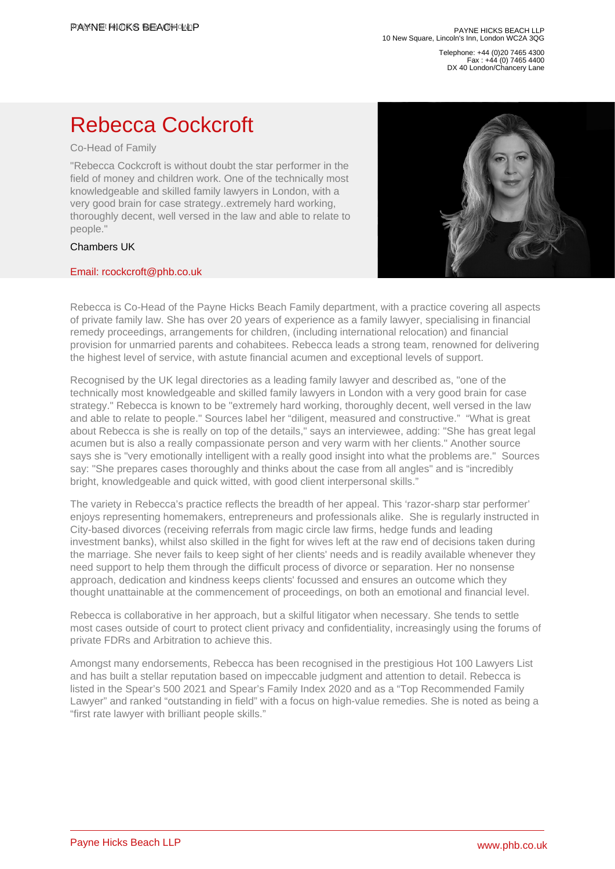Telephone: +44 (0)20 7465 4300 Fax : +44 (0) 7465 4400 DX 40 London/Chancery Lane

## Rebecca Cockcroft

## Co-Head of Family

"Rebecca Cockcroft is without doubt the star performer in the field of money and children work. One of the technically most knowledgeable and skilled family lawyers in London, with a very good brain for case strategy..extremely hard working, thoroughly decent, well versed in the law and able to relate to people."

## Chambers UK

## [Email: rcockcroft@phb.co.uk](�� m a i l t o : r c o c k c r o f t @ p h b . c o . u k)

Rebecca is Co-Head of the Payne Hicks Beach Family department, with a practice covering all aspects of private family law. She has over 20 years of experience as a family lawyer, specialising in financial remedy proceedings, arrangements for children, (including international relocation) and financial provision for unmarried parents and cohabitees. Rebecca leads a strong team, renowned for delivering the highest level of service, with astute financial acumen and exceptional levels of support.

Recognised by the UK legal directories as a leading family lawyer and described as, "one of the technically most knowledgeable and skilled family lawyers in London with a very good brain for case strategy." Rebecca is known to be "extremely hard working, thoroughly decent, well versed in the law and able to relate to people." Sources label her "diligent, measured and constructive." "What is great about Rebecca is she is really on top of the details," says an interviewee, adding: "She has great legal acumen but is also a really compassionate person and very warm with her clients." Another source says she is "very emotionally intelligent with a really good insight into what the problems are." Sources say: "She prepares cases thoroughly and thinks about the case from all angles" and is "incredibly bright, knowledgeable and quick witted, with good client interpersonal skills."

The variety in Rebecca's practice reflects the breadth of her appeal. This 'razor-sharp star performer' enjoys representing homemakers, entrepreneurs and professionals alike. She is regularly instructed in City-based divorces (receiving referrals from magic circle law firms, hedge funds and leading investment banks), whilst also skilled in the fight for wives left at the raw end of decisions taken during the marriage. She never fails to keep sight of her clients' needs and is readily available whenever they need support to help them through the difficult process of divorce or separation. Her no nonsense approach, dedication and kindness keeps clients' focussed and ensures an outcome which they thought unattainable at the commencement of proceedings, on both an emotional and financial level.

Rebecca is collaborative in her approach, but a skilful litigator when necessary. She tends to settle most cases outside of court to protect client privacy and confidentiality, increasingly using the forums of private FDRs and Arbitration to achieve this.

Amongst many endorsements, Rebecca has been recognised in the prestigious Hot 100 Lawyers List and has built a stellar reputation based on impeccable judgment and attention to detail. Rebecca is listed in the Spear's 500 2021 and Spear's Family Index 2020 and as a "Top Recommended Family Lawyer" and ranked "outstanding in field" with a focus on high-value remedies. She is noted as being a "first rate lawyer with brilliant people skills."